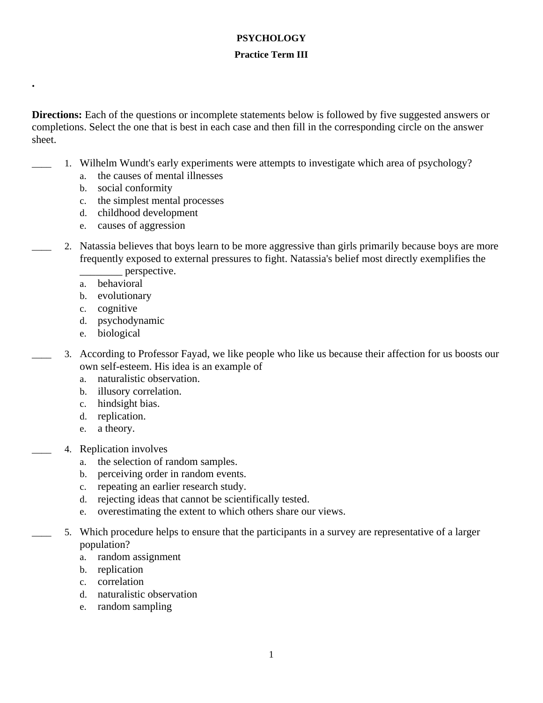## **PSYCHOLOGY**

## **Practice Term III**

**Directions:** Each of the questions or incomplete statements below is followed by five suggested answers or completions. Select the one that is best in each case and then fill in the corresponding circle on the answer sheet.

- \_\_\_\_ 1. Wilhelm Wundt's early experiments were attempts to investigate which area of psychology?
	- a. the causes of mental illnesses
	- b. social conformity

**.**

- c. the simplest mental processes
- d. childhood development
- e. causes of aggression
- 2. Natassia believes that boys learn to be more aggressive than girls primarily because boys are more frequently exposed to external pressures to fight. Natassia's belief most directly exemplifies the \_\_\_\_\_\_\_\_ perspective.
	- a. behavioral
	- b. evolutionary
	- c. cognitive
	- d. psychodynamic
	- e. biological
- \_\_\_\_ 3. According to Professor Fayad, we like people who like us because their affection for us boosts our own self-esteem. His idea is an example of
	- a. naturalistic observation.
	- b. illusory correlation.
	- c. hindsight bias.
	- d. replication.
	- e. a theory.
- 4. Replication involves
	- a. the selection of random samples.
	- b. perceiving order in random events.
	- c. repeating an earlier research study.
	- d. rejecting ideas that cannot be scientifically tested.
	- e. overestimating the extent to which others share our views.
	- \_\_\_\_ 5. Which procedure helps to ensure that the participants in a survey are representative of a larger population?
		- a. random assignment
		- b. replication
		- c. correlation
		- d. naturalistic observation
		- e. random sampling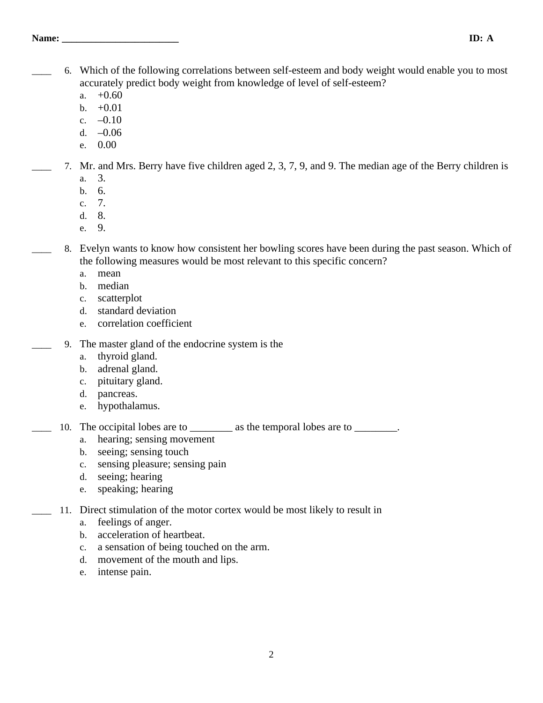- \_\_\_\_ 6. Which of the following correlations between self-esteem and body weight would enable you to most accurately predict body weight from knowledge of level of self-esteem?
	- a.  $+0.60$
	- b.  $+0.01$
	- c.  $-0.10$
	- d. –0.06
	- e. 0.00
- \_\_\_\_ 7. Mr. and Mrs. Berry have five children aged 2, 3, 7, 9, and 9. The median age of the Berry children is
	- a. 3.
	- b. 6.
	- c. 7.
	- d. 8.
	- e. 9.
- 8. Evelyn wants to know how consistent her bowling scores have been during the past season. Which of the following measures would be most relevant to this specific concern?
	- a. mean
	- b. median
	- c. scatterplot
	- d. standard deviation
	- e. correlation coefficient
	- \_\_\_\_ 9. The master gland of the endocrine system is the
		- a. thyroid gland.
		- b. adrenal gland.
		- c. pituitary gland.
		- d. pancreas.
		- e. hypothalamus.
- 10. The occipital lobes are to \_\_\_\_\_\_\_\_\_ as the temporal lobes are to \_\_\_\_\_\_\_\_.
	- a. hearing; sensing movement
	- b. seeing; sensing touch
	- c. sensing pleasure; sensing pain
	- d. seeing; hearing
	- e. speaking; hearing
	- 11. Direct stimulation of the motor cortex would be most likely to result in
		- a. feelings of anger.
		- b. acceleration of heartbeat.
		- c. a sensation of being touched on the arm.
		- d. movement of the mouth and lips.
		- e. intense pain.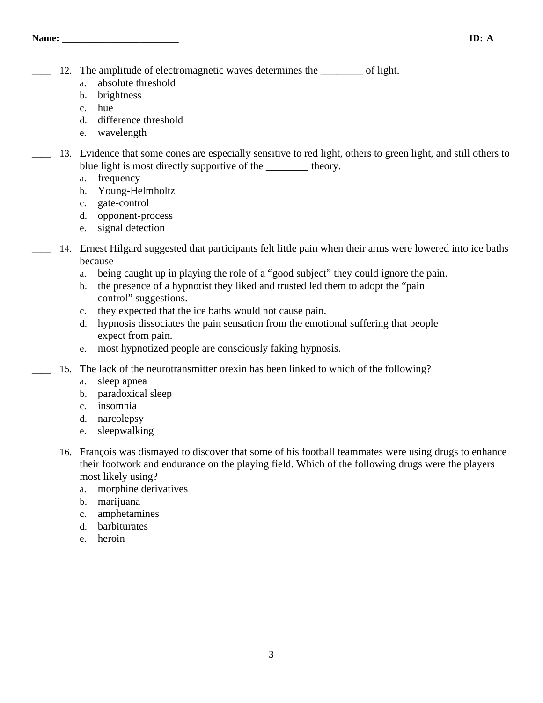- 12. The amplitude of electromagnetic waves determines the \_\_\_\_\_\_\_\_ of light.
	- a. absolute threshold
	- b. brightness
	- c. hue
	- d. difference threshold
	- e. wavelength
- \_\_\_\_ 13. Evidence that some cones are especially sensitive to red light, others to green light, and still others to blue light is most directly supportive of the \_\_\_\_\_\_\_\_\_\_ theory.
	- a. frequency
	- b. Young-Helmholtz
	- c. gate-control
	- d. opponent-process
	- e. signal detection
- 14. Ernest Hilgard suggested that participants felt little pain when their arms were lowered into ice baths because
	- a. being caught up in playing the role of a "good subject" they could ignore the pain.
	- b. the presence of a hypnotist they liked and trusted led them to adopt the "pain control" suggestions.
	- c. they expected that the ice baths would not cause pain.
	- d. hypnosis dissociates the pain sensation from the emotional suffering that people expect from pain.
	- e. most hypnotized people are consciously faking hypnosis.
- 15. The lack of the neurotransmitter orexin has been linked to which of the following?
	- a. sleep apnea
	- b. paradoxical sleep
	- c. insomnia
	- d. narcolepsy
	- e. sleepwalking
	- 16. François was dismayed to discover that some of his football teammates were using drugs to enhance their footwork and endurance on the playing field. Which of the following drugs were the players most likely using?
		- a. morphine derivatives
		- b. marijuana
		- c. amphetamines
		- d. barbiturates
		- e. heroin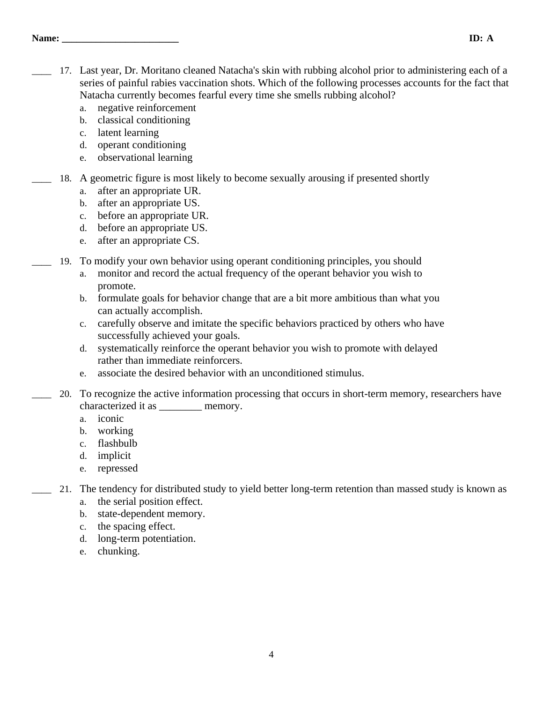## **Name: \_\_\_\_\_\_\_\_\_\_\_\_\_\_\_\_\_\_\_\_\_\_\_\_ ID: A**

- 17. Last year, Dr. Moritano cleaned Natacha's skin with rubbing alcohol prior to administering each of a series of painful rabies vaccination shots. Which of the following processes accounts for the fact that Natacha currently becomes fearful every time she smells rubbing alcohol?
	- a. negative reinforcement
	- b. classical conditioning
	- c. latent learning
	- d. operant conditioning
	- e. observational learning
- 18. A geometric figure is most likely to become sexually arousing if presented shortly
	- a. after an appropriate UR.
	- b. after an appropriate US.
	- c. before an appropriate UR.
	- d. before an appropriate US.
	- e. after an appropriate CS.
	- \_\_\_\_ 19. To modify your own behavior using operant conditioning principles, you should
		- a. monitor and record the actual frequency of the operant behavior you wish to promote.
		- b. formulate goals for behavior change that are a bit more ambitious than what you can actually accomplish.
		- c. carefully observe and imitate the specific behaviors practiced by others who have successfully achieved your goals.
		- d. systematically reinforce the operant behavior you wish to promote with delayed rather than immediate reinforcers.
		- e. associate the desired behavior with an unconditioned stimulus.
	- \_\_\_\_ 20. To recognize the active information processing that occurs in short-term memory, researchers have characterized it as  $\qquad \qquad$  memory.
		- a. iconic
		- b. working
		- c. flashbulb
		- d. implicit
		- e. repressed
- \_\_\_\_ 21. The tendency for distributed study to yield better long-term retention than massed study is known as
	- a. the serial position effect.
	- b. state-dependent memory.
	- c. the spacing effect.
	- d. long-term potentiation.
	- e. chunking.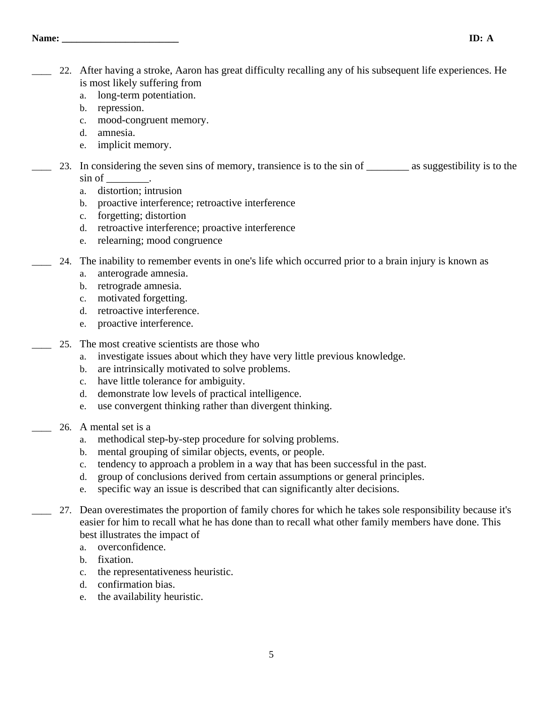- \_\_\_\_ 22. After having a stroke, Aaron has great difficulty recalling any of his subsequent life experiences. He is most likely suffering from
	- a. long-term potentiation.
	- b. repression.
	- c. mood-congruent memory.
	- d. amnesia.
	- e. implicit memory.
- 23. In considering the seven sins of memory, transience is to the sin of \_\_\_\_\_\_\_\_ as suggestibility is to the sin of \_\_\_\_\_\_\_\_.
	- a. distortion; intrusion
	- b. proactive interference; retroactive interference
	- c. forgetting; distortion
	- d. retroactive interference; proactive interference
	- e. relearning; mood congruence
	- \_\_\_\_ 24. The inability to remember events in one's life which occurred prior to a brain injury is known as
		- a. anterograde amnesia.
		- b. retrograde amnesia.
		- c. motivated forgetting.
		- d. retroactive interference.
		- e. proactive interference.
	- 25. The most creative scientists are those who
		- a. investigate issues about which they have very little previous knowledge.
		- b. are intrinsically motivated to solve problems.
		- c. have little tolerance for ambiguity.
		- d. demonstrate low levels of practical intelligence.
		- e. use convergent thinking rather than divergent thinking.
- \_\_\_\_ 26. A mental set is a
	- a. methodical step-by-step procedure for solving problems.
	- b. mental grouping of similar objects, events, or people.
	- c. tendency to approach a problem in a way that has been successful in the past.
	- d. group of conclusions derived from certain assumptions or general principles.
	- e. specific way an issue is described that can significantly alter decisions.
	- \_\_\_\_ 27. Dean overestimates the proportion of family chores for which he takes sole responsibility because it's easier for him to recall what he has done than to recall what other family members have done. This best illustrates the impact of
		- a. overconfidence.
		- b. fixation.
		- c. the representativeness heuristic.
		- d. confirmation bias.
		- e. the availability heuristic.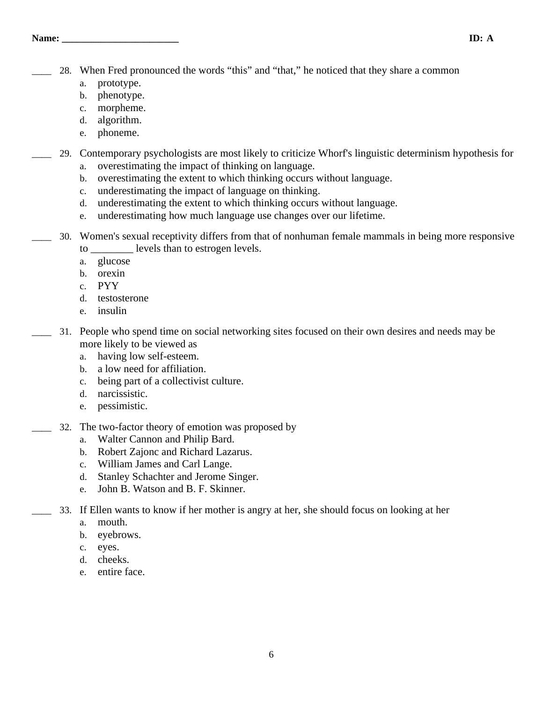\_\_\_\_ 28. When Fred pronounced the words "this" and "that," he noticed that they share a common

- a. prototype.
- b. phenotype.
- c. morpheme.
- d. algorithm.
- e. phoneme.

\_\_\_\_ 29. Contemporary psychologists are most likely to criticize Whorf's linguistic determinism hypothesis for

- a. overestimating the impact of thinking on language.
- b. overestimating the extent to which thinking occurs without language.
- c. underestimating the impact of language on thinking.
- d. underestimating the extent to which thinking occurs without language.
- e. underestimating how much language use changes over our lifetime.
- \_\_\_\_ 30. Women's sexual receptivity differs from that of nonhuman female mammals in being more responsive to \_\_\_\_\_\_\_\_ levels than to estrogen levels.
	- a. glucose
	- b. orexin
	- c. PYY
	- d. testosterone
	- e. insulin
- \_\_\_\_ 31. People who spend time on social networking sites focused on their own desires and needs may be more likely to be viewed as
	- a. having low self-esteem.
	- b. a low need for affiliation.
	- c. being part of a collectivist culture.
	- d. narcissistic.
	- e. pessimistic.
- 32. The two-factor theory of emotion was proposed by
	- a. Walter Cannon and Philip Bard.
	- b. Robert Zajonc and Richard Lazarus.
	- c. William James and Carl Lange.
	- d. Stanley Schachter and Jerome Singer.
	- e. John B. Watson and B. F. Skinner.
	- \_\_\_\_ 33. If Ellen wants to know if her mother is angry at her, she should focus on looking at her
		- a. mouth.
		- b. eyebrows.
		- c. eyes.
		- d. cheeks.
		- e. entire face.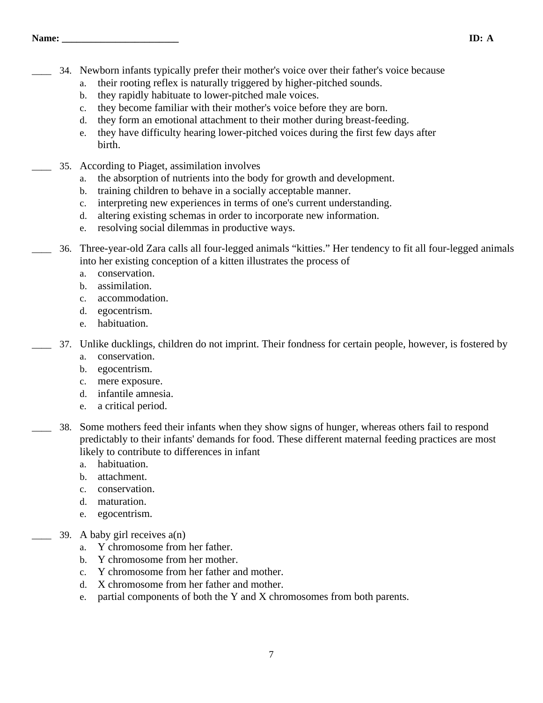## **Name: \_\_\_\_\_\_\_\_\_\_\_\_\_\_\_\_\_\_\_\_\_\_\_\_ ID: A**

- \_\_\_\_ 34. Newborn infants typically prefer their mother's voice over their father's voice because
	- a. their rooting reflex is naturally triggered by higher-pitched sounds.
	- b. they rapidly habituate to lower-pitched male voices.
	- c. they become familiar with their mother's voice before they are born.
	- d. they form an emotional attachment to their mother during breast-feeding.
	- e. they have difficulty hearing lower-pitched voices during the first few days after birth.
- 35. According to Piaget, assimilation involves
	- a. the absorption of nutrients into the body for growth and development.
	- b. training children to behave in a socially acceptable manner.
	- c. interpreting new experiences in terms of one's current understanding.
	- d. altering existing schemas in order to incorporate new information.
	- e. resolving social dilemmas in productive ways.
- \_\_\_\_ 36. Three-year-old Zara calls all four-legged animals "kitties." Her tendency to fit all four-legged animals into her existing conception of a kitten illustrates the process of
	- a. conservation.
	- b. assimilation.
	- c. accommodation.
	- d. egocentrism.
	- e. habituation.

\_\_\_\_ 37. Unlike ducklings, children do not imprint. Their fondness for certain people, however, is fostered by

- a. conservation.
- b. egocentrism.
- c. mere exposure.
- d. infantile amnesia.
- e. a critical period.
- \_\_\_\_ 38. Some mothers feed their infants when they show signs of hunger, whereas others fail to respond predictably to their infants' demands for food. These different maternal feeding practices are most likely to contribute to differences in infant
	- a. habituation.
	- b. attachment.
	- c. conservation.
	- d. maturation.
	- e. egocentrism.
- 39. A baby girl receives  $a(n)$ 
	- a. Y chromosome from her father.
	- b. Y chromosome from her mother.
	- c. Y chromosome from her father and mother.
	- d. X chromosome from her father and mother.
	- e. partial components of both the Y and X chromosomes from both parents.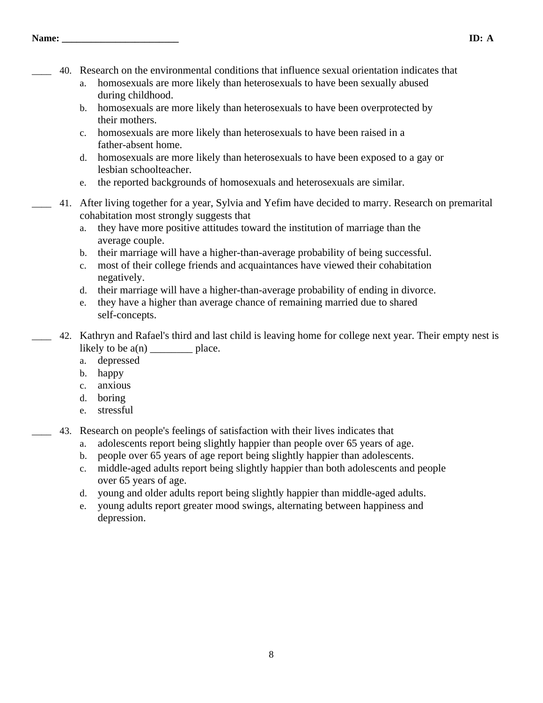- \_\_\_\_ 40. Research on the environmental conditions that influence sexual orientation indicates that
	- a. homosexuals are more likely than heterosexuals to have been sexually abused during childhood.
	- b. homosexuals are more likely than heterosexuals to have been overprotected by their mothers.
	- c. homosexuals are more likely than heterosexuals to have been raised in a father-absent home.
	- d. homosexuals are more likely than heterosexuals to have been exposed to a gay or lesbian schoolteacher.
	- e. the reported backgrounds of homosexuals and heterosexuals are similar.
- \_\_\_\_ 41. After living together for a year, Sylvia and Yefim have decided to marry. Research on premarital cohabitation most strongly suggests that
	- a. they have more positive attitudes toward the institution of marriage than the average couple.
	- b. their marriage will have a higher-than-average probability of being successful.
	- c. most of their college friends and acquaintances have viewed their cohabitation negatively.
	- d. their marriage will have a higher-than-average probability of ending in divorce.
	- e. they have a higher than average chance of remaining married due to shared self-concepts.
- \_\_\_\_ 42. Kathryn and Rafael's third and last child is leaving home for college next year. Their empty nest is likely to be  $a(n)$  place.
	- a. depressed
	- b. happy
	- c. anxious
	- d. boring
	- e. stressful
- \_\_\_\_ 43. Research on people's feelings of satisfaction with their lives indicates that
	- a. adolescents report being slightly happier than people over 65 years of age.
	- b. people over 65 years of age report being slightly happier than adolescents.
	- c. middle-aged adults report being slightly happier than both adolescents and people over 65 years of age.
	- d. young and older adults report being slightly happier than middle-aged adults.
	- e. young adults report greater mood swings, alternating between happiness and depression.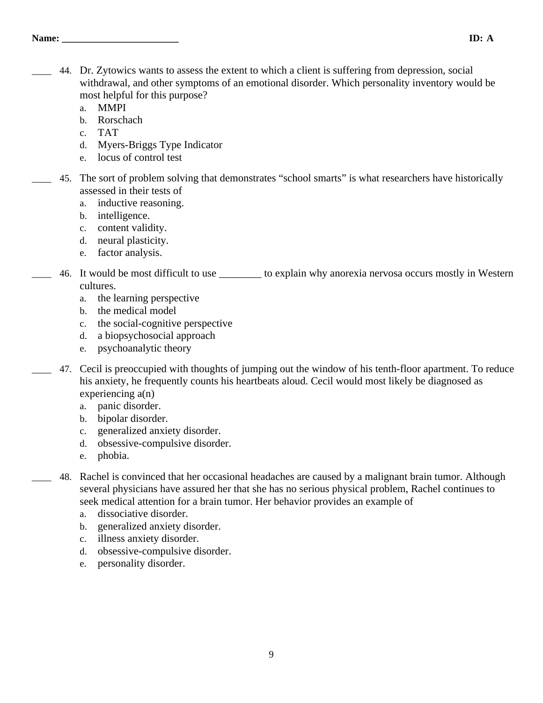- \_\_\_\_ 44. Dr. Zytowics wants to assess the extent to which a client is suffering from depression, social withdrawal, and other symptoms of an emotional disorder. Which personality inventory would be most helpful for this purpose?
	- a. MMPI
	- b. Rorschach
	- c. TAT
	- d. Myers-Briggs Type Indicator
	- e. locus of control test
	- \_\_\_\_ 45. The sort of problem solving that demonstrates "school smarts" is what researchers have historically assessed in their tests of
		- a. inductive reasoning.
		- b. intelligence.
		- c. content validity.
		- d. neural plasticity.
		- e. factor analysis.
- \_\_\_\_ 46. It would be most difficult to use \_\_\_\_\_\_\_\_ to explain why anorexia nervosa occurs mostly in Western cultures.
	- a. the learning perspective
	- b. the medical model
	- c. the social-cognitive perspective
	- d. a biopsychosocial approach
	- e. psychoanalytic theory
- \_\_\_\_ 47. Cecil is preoccupied with thoughts of jumping out the window of his tenth-floor apartment. To reduce his anxiety, he frequently counts his heartbeats aloud. Cecil would most likely be diagnosed as experiencing a(n)
	- a. panic disorder.
	- b. bipolar disorder.
	- c. generalized anxiety disorder.
	- d. obsessive-compulsive disorder.
	- e. phobia.
- \_\_\_\_ 48. Rachel is convinced that her occasional headaches are caused by a malignant brain tumor. Although several physicians have assured her that she has no serious physical problem, Rachel continues to seek medical attention for a brain tumor. Her behavior provides an example of
	- a. dissociative disorder.
	- b. generalized anxiety disorder.
	- c. illness anxiety disorder.
	- d. obsessive-compulsive disorder.
	- e. personality disorder.